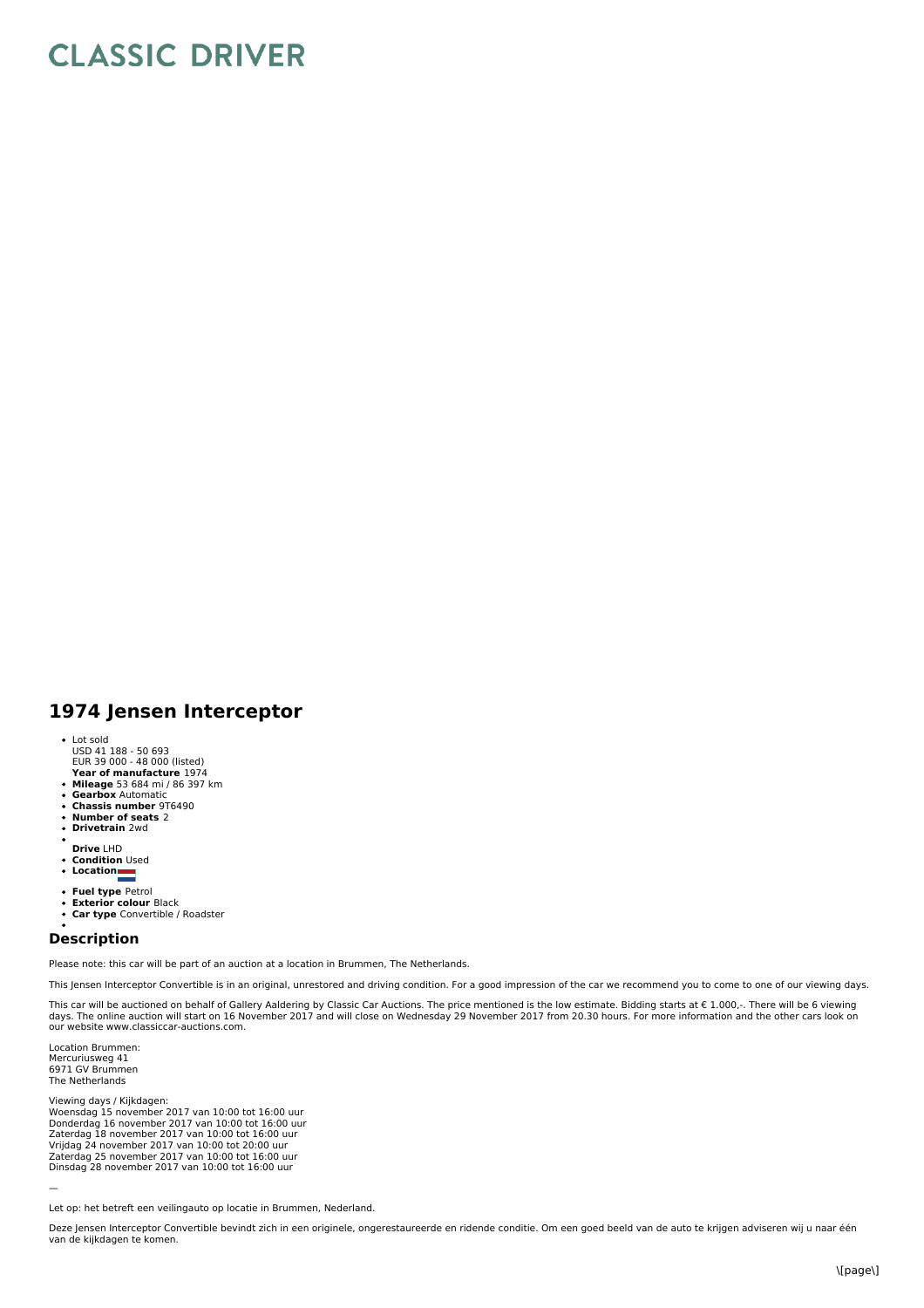## **CLASSIC DRIVER**

## **1974 Jensen Interceptor**

- 
- Lot sold USD 41 188 50 693 EUR 39 000 48 000 (listed)
- **Year of manufacture** 1974
- **Mileage** 53 684 mi / 86 397 km **Gearbox** Automatic
- $\bullet$
- **Chassis number** 9T6490  $\bullet$
- **Number of seats** 2 **Drivetrain** 2wd  $\ddot{\phantom{0}}$
- 
- 
- **Drive** LHD **Condition** Used
- **Location**
- 
- **Fuel type** Petrol **Exterior colour** Black
- $\ddot{\phantom{0}}$ **Car type** Convertible / Roadster

## **Description**

Please note: this car will be part of an auction at a location in Brummen, The Netherlands.

This Jensen Interceptor Convertible is in an original, unrestored and driving condition. For a good impression of the car we recommend you to come to one of our viewing days.

This car will be auctioned on behalf of Gallery Aaldering by Classic Car Auctions. The price mentioned is the low estimate. Bidding starts at € 1.000,-. There will be 6 viewing<br>days. The online auction will start on 16 No our website www.classiccar-auctions.com.

Location Brummen: Mercuriusweg 41 6971 GV Brummen The Netherlands

Viewing days / Kijkdagen: Woensdag 15 november 2017 van 10:00 tot 16:00 uur<br>Donderdag 16 november 2017 van 10:00 tot 16:00 uur<br>Zaterdag 18 november 2017 van 10:00 tot 16:00 uur Vrijdag 24 november 2017 van 10:00 tot 20:00 uur<br>Zaterdag 25 november 2017 van 10:00 tot 16:00 uur<br>Dinsdag 28 november 2017 van 10:00 tot 16:00 uur

Let op: het betreft een veilingauto op locatie in Brummen, Nederland.

—

Deze Jensen Interceptor Convertible bevindt zich in een originele, ongerestaureerde en ridende conditie. Om een goed beeld van de auto te krijgen adviseren wij u naar één van de kijkdagen te komen.